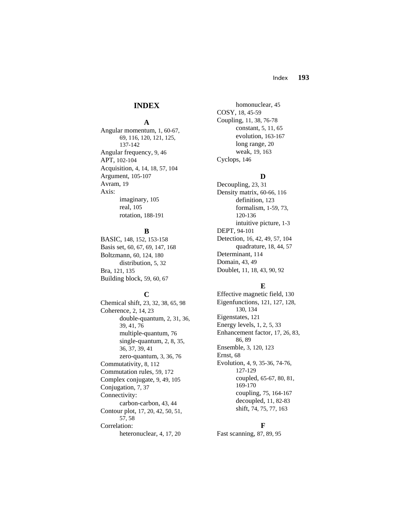### Index **193**

## **INDEX**

#### **A**

Angular momentum, 1, 60-67, 69, 116, 120, 121, 125, 137-142 Angular frequency, 9, 46 APT, 102-104 Acquisition, 4, 14, 18, 57, 104 Argument, 105-107 Avram, 19 Axis: imaginary, 105 real, 105 rotation, 188-191

### **B**

BASIC, 148, 152, 153-158 Basis set, 60, 67, 69, 147, 168 Boltzmann, 60, 124, 180 distribution, 5, 32 Bra, 121, 135 Building block, 59, 60, 67

## **C**

Chemical shift, 23, 32, 38, 65, 98 Coherence, 2, 14, 23 double-quantum, 2, 31, 36, 39, 41, 76 multiple-quantum, 76 single-quantum, 2, 8, 35, 36, 37, 39, 41 zero-quantum, 3, 36, 76 Commutativity, 8, 112 Commutation rules, 59, 172 Complex conjugate, 9, 49, 105 Conjugation, 7, 37 Connectivity: carbon-carbon, 43, 44 Contour plot, 17, 20, 42, 50, 51, 57, 58 Correlation: heteronuclear, 4, 17, 20

 homonuclear, 45 COSY, 18, 45-59 Coupling, 11, 38, 76-78 constant, 5, 11, 65 evolution, 163-167 long range, 20 weak, 19, 163 Cyclops, 146

## **D**

Decoupling, 23, 31 Density matrix, 60-66, 116 definition, 123 formalism, 1-59, 73, 120-136 intuitive picture, 1-3 DEPT, 94-101 Detection, 16, 42, 49, 57, 104 quadrature, 18, 44, 57 Determinant, 114 Domain, 43, 49 Doublet, 11, 18, 43, 90, 92

#### **E**

Effective magnetic field, 130 Eigenfunctions, 121, 127, 128, 130, 134 Eigenstates, 121 Energy levels, 1, 2, 5, 33 Enhancement factor, 17, 26, 83, 86, 89 Ensemble, 3, 120, 123 Ernst, 68 Evolution, 4, 9, 35-36, 74-76, 127-129 coupled, 65-67, 80, 81, 169-170 coupling, 75, 164-167 decoupled, 11, 82-83 shift, 74, 75, 77, 163

#### **F**

Fast scanning, 87, 89, 95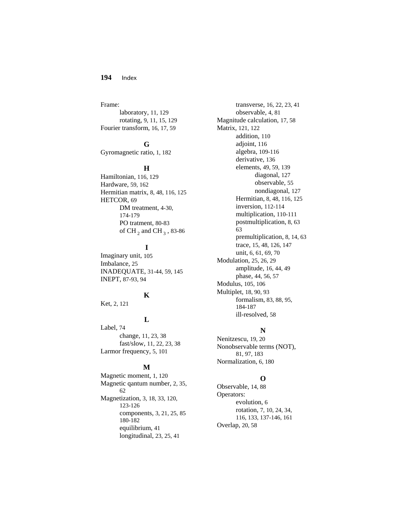### **194** Index

Frame: laboratory, 11, 129 rotating, 9, 11, 15, 129 Fourier transform, 16, 17, 59

### **G**

Gyromagnetic ratio, 1, 182

#### **H**

Hamiltonian, 116, 129 Hardware, 59, 162 Hermitian matrix, 8, 48, 116, 125 HETCOR, 69 DM treatment, 4-30, 174-179 PO tratment, 80-83 of CH  $_2$  and CH  $_3$  , 83-86

## **I**

Imaginary unit, 105 Imbalance, 25 INADEQUATE, 31-44, 59, 145 INEPT, 87-93, 94

# **K**

Ket, 2, 121

## **L**

Label, 74 change, 11, 23, 38 fast/slow, 11, 22, 23, 38 Larmor frequency, 5, 101

#### **M**

Magnetic moment, 1, 120 Magnetic qantum number, 2, 35, 62 Magnetization, 3, 18, 33, 120, 123-126 components, 3, 21, 25, 85 180-182 equilibrium, 41 longitudinal, 23, 25, 41

 transverse, 16, 22, 23, 41 observable, 4, 81 Magnitude calculation, 17, 58 Matrix, 121, 122 addition, 110 adjoint, 116 algebra, 109-116 derivative, 136 elements, 49, 59, 139 diagonal, 127 observable, 55 nondiagonal, 127 Hermitian, 8, 48, 116, 125 inversion, 112-114 multiplication, 110-111 postmultiplication, 8, 63 63 premultiplication, 8, 14, 63 trace, 15, 48, 126, 147 unit, 6, 61, 69, 70 Modulation, 25, 26, 29 amplitude, 16, 44, 49 phase, 44, 56, 57 Modulus, 105, 106 Multiplet, 18, 90, 93 formalism, 83, 88, 95, 184-187 ill-resolved, 58

#### **N**

Nenitzescu, 19, 20 Nonobservable terms (NOT), 81, 97, 183 Normalization, 6, 180

#### **O**

Observable, 14, 88 Operators: evolution, 6 rotation, 7, 10, 24, 34, 116, 133, 137-146, 161 Overlap, 20, 58